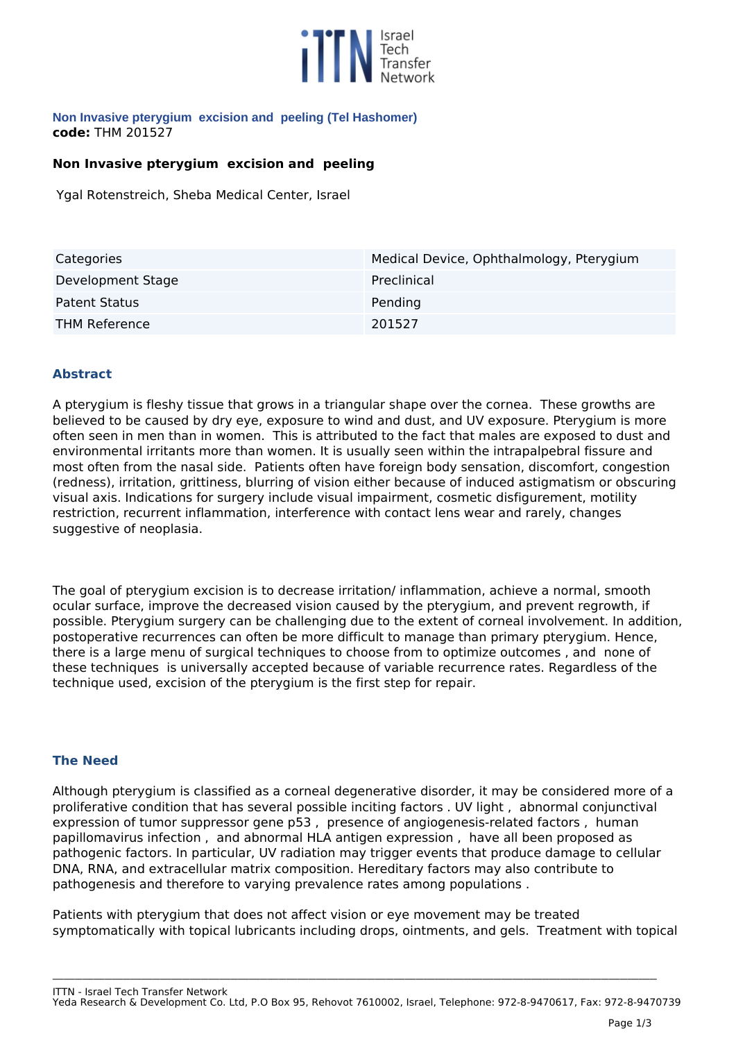

#### **Non Invasive pterygium excision and peeling (Tel Hashomer) code:** *THM 201527*

## **Non Invasive pterygium excision and peeling**

*Ygal Rotenstreich, Sheba Medical Center, Israel*

| Categories           | Medical Device, Ophthalmology, Pterygium |
|----------------------|------------------------------------------|
| Development Stage    | Preclinical                              |
| Patent Status        | Pending                                  |
| <b>THM Reference</b> | 201527                                   |

## **Abstract**

*A pterygium is fleshy tissue that grows in a triangular shape over the cornea. These growths are believed to be caused by dry eye, exposure to wind and dust, and UV exposure. Pterygium is more often seen in men than in women. This is attributed to the fact that males are exposed to dust and environmental irritants more than women. It is usually seen within the intrapalpebral fissure and most often from the nasal side. Patients often have foreign body sensation, discomfort, congestion (redness), irritation, grittiness, blurring of vision either because of induced astigmatism or obscuring visual axis. Indications for surgery include visual impairment, cosmetic disfigurement, motility restriction, recurrent inflammation, interference with contact lens wear and rarely, changes suggestive of neoplasia.* 

*The goal of pterygium excision is to decrease irritation/ inflammation, achieve a normal, smooth ocular surface, improve the decreased vision caused by the pterygium, and prevent regrowth, if possible. Pterygium surgery can be challenging due to the extent of corneal involvement. In addition, postoperative recurrences can often be more difficult to manage than primary pterygium. Hence, there is a large menu of surgical techniques to choose from to optimize outcomes , and none of these techniques is universally accepted because of variable recurrence rates. Regardless of the technique used, excision of the pterygium is the first step for repair.* 

### **The Need**

*Although pterygium is classified as a corneal degenerative disorder, it may be considered more of a proliferative condition that has several possible inciting factors . UV light , abnormal conjunctival expression of tumor suppressor gene p53 , presence of angiogenesis-related factors , human papillomavirus infection , and abnormal HLA antigen expression , have all been proposed as pathogenic factors. In particular, UV radiation may trigger events that produce damage to cellular DNA, RNA, and extracellular matrix composition. Hereditary factors may also contribute to pathogenesis and therefore to varying prevalence rates among populations .*

*Patients with pterygium that does not affect vision or eye movement may be treated symptomatically with topical lubricants including drops, ointments, and gels. Treatment with topical*

*ITTN - Israel Tech Transfer Network*

*Yeda Research & Development Co. Ltd, P.O Box 95, Rehovot 7610002, Israel, Telephone: 972-8-9470617, Fax: 972-8-9470739*

**\_\_\_\_\_\_\_\_\_\_\_\_\_\_\_\_\_\_\_\_\_\_\_\_\_\_\_\_\_\_\_\_\_\_\_\_\_\_\_\_\_\_\_\_\_\_\_\_\_\_\_\_\_\_\_\_\_\_\_\_\_\_\_\_\_\_\_\_\_\_\_\_\_\_\_\_\_\_\_\_\_\_\_\_\_\_\_\_\_\_\_\_\_\_\_\_\_\_\_\_\_\_\_\_\_\_\_\_\_\_\_\_\_\_\_\_\_\_\_\_\_\_\_\_\_\_\_\_\_\_\_\_\_\_\_\_\_\_\_\_\_\_\_\_\_\_\_\_\_\_\_\_\_\_\_\_\_\_\_\_\_\_\_**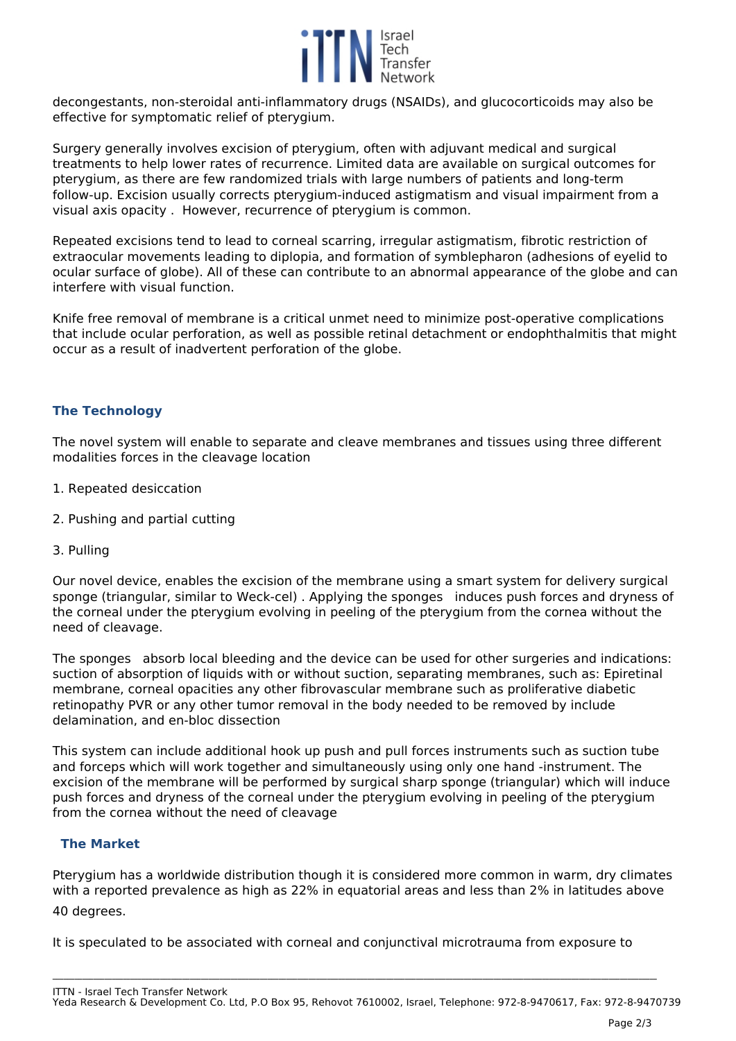

*decongestants, non-steroidal anti-inflammatory drugs (NSAIDs), and glucocorticoids may also be effective for symptomatic relief of pterygium.* 

*Surgery generally involves excision of pterygium, often with adjuvant medical and surgical treatments to help lower rates of recurrence. Limited data are available on surgical outcomes for pterygium, as there are few randomized trials with large numbers of patients and long-term follow-up. Excision usually corrects pterygium-induced astigmatism and visual impairment from a visual axis opacity . However, recurrence of pterygium is common.*

*Repeated excisions tend to lead to corneal scarring, irregular astigmatism, fibrotic restriction of extraocular movements leading to diplopia, and formation of symblepharon (adhesions of eyelid to ocular surface of globe). All of these can contribute to an abnormal appearance of the globe and can interfere with visual function.*

*Knife free removal of membrane is a critical unmet need to minimize post-operative complications that include ocular perforation, as well as possible retinal detachment or endophthalmitis that might occur as a result of inadvertent perforation of the globe.*

# **The Technology**

*The novel system will enable to separate and cleave membranes and tissues using three different modalities forces in the cleavage location*

- *1. Repeated desiccation*
- *2. Pushing and partial cutting*
- *3. Pulling*

*Our novel device, enables the excision of the membrane using a smart system for delivery surgical sponge (triangular, similar to Weck-cel) . Applying the sponges induces push forces and dryness of the corneal under the pterygium evolving in peeling of the pterygium from the cornea without the need of cleavage.*

*The sponges absorb local bleeding and the device can be used for other surgeries and indications: suction of absorption of liquids with or without suction, separating membranes, such as: Epiretinal membrane, corneal opacities any other fibrovascular membrane such as proliferative diabetic retinopathy PVR or any other tumor removal in the body needed to be removed by include delamination, and en-bloc dissection* 

*This system can include additional hook up push and pull forces instruments such as suction tube and forceps which will work together and simultaneously using only one hand -instrument. The excision of the membrane will be performed by surgical sharp sponge (triangular) which will induce push forces and dryness of the corneal under the pterygium evolving in peeling of the pterygium from the cornea without the need of cleavage* 

## **The Market**

*Pterygium has a worldwide distribution though it is considered more common in warm, dry climates with a reported prevalence as high as 22% in equatorial areas and less than 2% in latitudes above*

*40 degrees.*

*It is speculated to be associated with corneal and conjunctival microtrauma from exposure to*

**\_\_\_\_\_\_\_\_\_\_\_\_\_\_\_\_\_\_\_\_\_\_\_\_\_\_\_\_\_\_\_\_\_\_\_\_\_\_\_\_\_\_\_\_\_\_\_\_\_\_\_\_\_\_\_\_\_\_\_\_\_\_\_\_\_\_\_\_\_\_\_\_\_\_\_\_\_\_\_\_\_\_\_\_\_\_\_\_\_\_\_\_\_\_\_\_\_\_\_\_\_\_\_\_\_\_\_\_\_\_\_\_\_\_\_\_\_\_\_\_\_\_\_\_\_\_\_\_\_\_\_\_\_\_\_\_\_\_\_\_\_\_\_\_\_\_\_\_\_\_\_\_\_\_\_\_\_\_\_\_\_\_\_**

*ITTN - Israel Tech Transfer Network Yeda Research & Development Co. Ltd, P.O Box 95, Rehovot 7610002, Israel, Telephone: 972-8-9470617, Fax: 972-8-9470739*